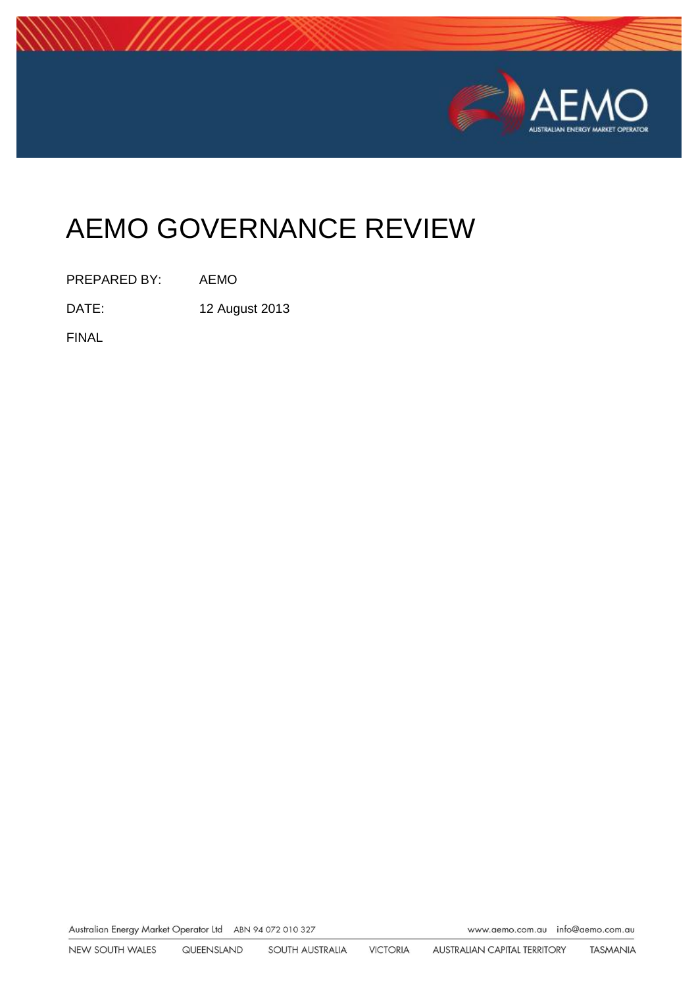

# AEMO GOVERNANCE REVIEW

PREPARED BY: AEMO

DATE: 12 August 2013

FINAL

Australian Energy Market Operator Ltd ABN 94 072 010 327 Www.aemo.com.au info@aemo.com.au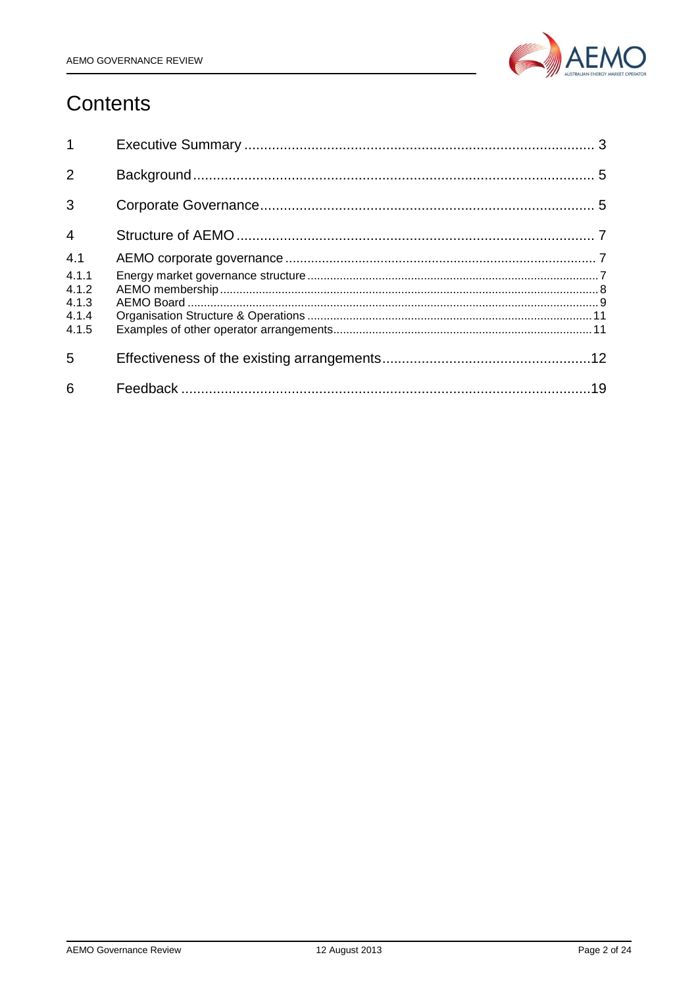

## Contents

| $\overline{1}$                   |  |
|----------------------------------|--|
| $\overline{2}$                   |  |
| 3                                |  |
| $\overline{4}$                   |  |
| 4.1                              |  |
| 4.1.1<br>4.1.2<br>4.1.3<br>4.1.4 |  |
| 4.1.5                            |  |
| 5                                |  |
| 6                                |  |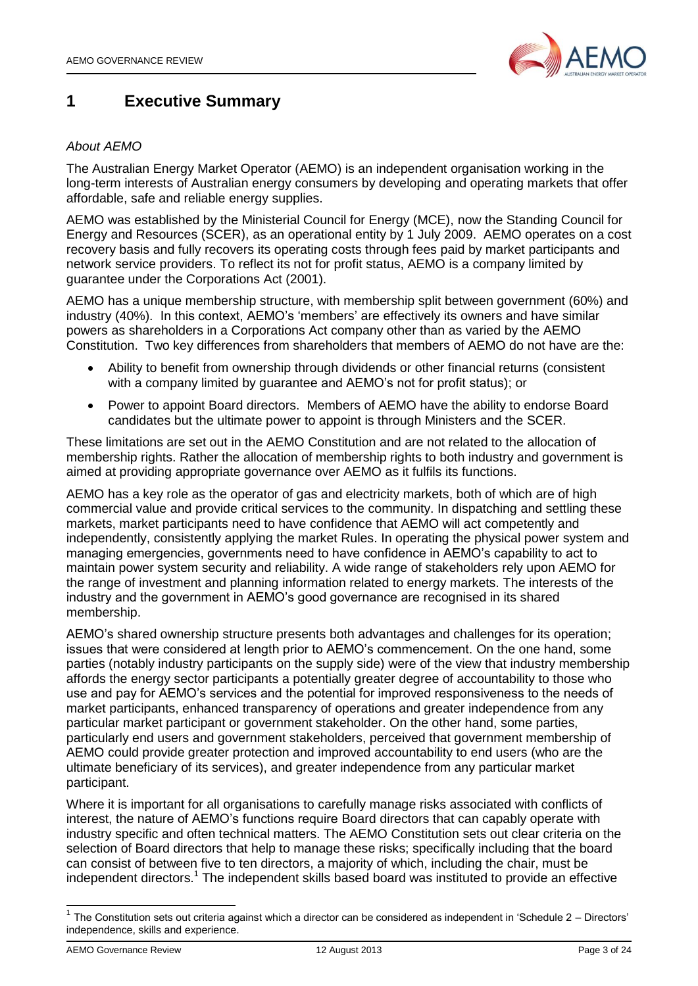

## <span id="page-2-0"></span>**1 Executive Summary**

#### *About AEMO*

The Australian Energy Market Operator (AEMO) is an independent organisation working in the long-term interests of Australian energy consumers by developing and operating markets that offer affordable, safe and reliable energy supplies.

AEMO was established by the Ministerial Council for Energy (MCE), now the Standing Council for Energy and Resources (SCER), as an operational entity by 1 July 2009. AEMO operates on a cost recovery basis and fully recovers its operating costs through fees paid by market participants and network service providers. To reflect its not for profit status, AEMO is a company limited by guarantee under the Corporations Act (2001).

AEMO has a unique membership structure, with membership split between government (60%) and industry (40%). In this context, AEMO's 'members' are effectively its owners and have similar powers as shareholders in a Corporations Act company other than as varied by the AEMO Constitution. Two key differences from shareholders that members of AEMO do not have are the:

- Ability to benefit from ownership through dividends or other financial returns (consistent with a company limited by guarantee and AEMO's not for profit status); or
- Power to appoint Board directors. Members of AEMO have the ability to endorse Board candidates but the ultimate power to appoint is through Ministers and the SCER.

These limitations are set out in the AEMO Constitution and are not related to the allocation of membership rights. Rather the allocation of membership rights to both industry and government is aimed at providing appropriate governance over AEMO as it fulfils its functions.

AEMO has a key role as the operator of gas and electricity markets, both of which are of high commercial value and provide critical services to the community. In dispatching and settling these markets, market participants need to have confidence that AEMO will act competently and independently, consistently applying the market Rules. In operating the physical power system and managing emergencies, governments need to have confidence in AEMO's capability to act to maintain power system security and reliability. A wide range of stakeholders rely upon AEMO for the range of investment and planning information related to energy markets. The interests of the industry and the government in AEMO's good governance are recognised in its shared membership.

AEMO's shared ownership structure presents both advantages and challenges for its operation; issues that were considered at length prior to AEMO's commencement. On the one hand, some parties (notably industry participants on the supply side) were of the view that industry membership affords the energy sector participants a potentially greater degree of accountability to those who use and pay for AEMO's services and the potential for improved responsiveness to the needs of market participants, enhanced transparency of operations and greater independence from any particular market participant or government stakeholder. On the other hand, some parties, particularly end users and government stakeholders, perceived that government membership of AEMO could provide greater protection and improved accountability to end users (who are the ultimate beneficiary of its services), and greater independence from any particular market participant.

Where it is important for all organisations to carefully manage risks associated with conflicts of interest, the nature of AEMO's functions require Board directors that can capably operate with industry specific and often technical matters. The AEMO Constitution sets out clear criteria on the selection of Board directors that help to manage these risks; specifically including that the board can consist of between five to ten directors, a majority of which, including the chair, must be independent directors.<sup>1</sup> The independent skills based board was instituted to provide an effective

1

<sup>1</sup> The Constitution sets out criteria against which a director can be considered as independent in 'Schedule 2 – Directors' independence, skills and experience.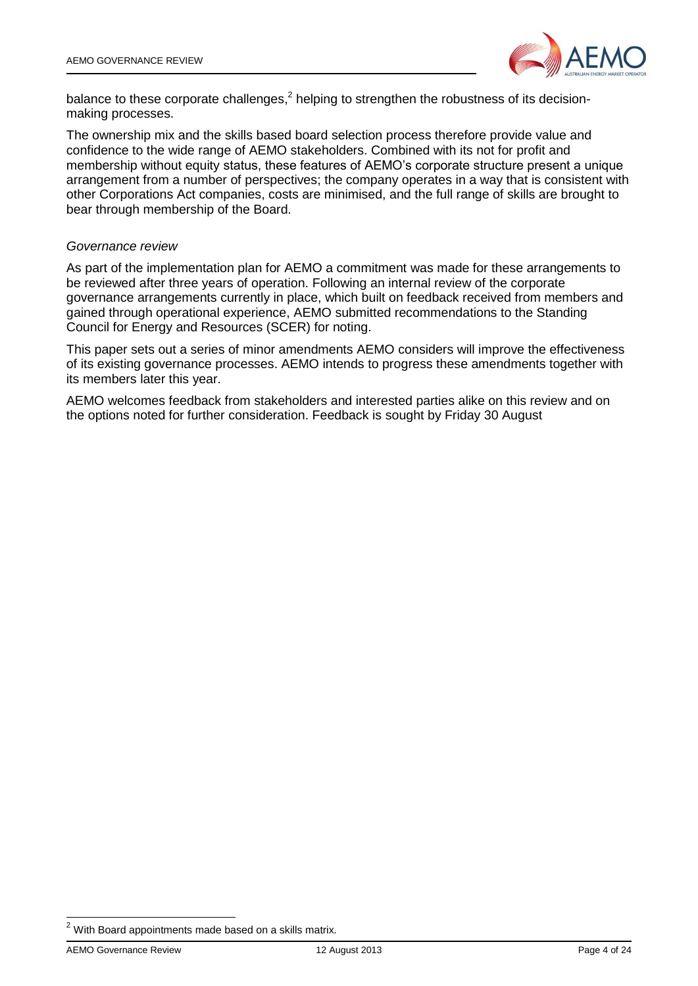

balance to these corporate challenges,<sup>2</sup> helping to strengthen the robustness of its decisionmaking processes.

The ownership mix and the skills based board selection process therefore provide value and confidence to the wide range of AEMO stakeholders. Combined with its not for profit and membership without equity status, these features of AEMO's corporate structure present a unique arrangement from a number of perspectives; the company operates in a way that is consistent with other Corporations Act companies, costs are minimised, and the full range of skills are brought to bear through membership of the Board.

#### *Governance review*

As part of the implementation plan for AEMO a commitment was made for these arrangements to be reviewed after three years of operation. Following an internal review of the corporate governance arrangements currently in place, which built on feedback received from members and gained through operational experience, AEMO submitted recommendations to the Standing Council for Energy and Resources (SCER) for noting.

This paper sets out a series of minor amendments AEMO considers will improve the effectiveness of its existing governance processes. AEMO intends to progress these amendments together with its members later this year.

AEMO welcomes feedback from stakeholders and interested parties alike on this review and on the options noted for further consideration. Feedback is sought by Friday 30 August

 $\overline{\phantom{a}}$ 

 $2$  With Board appointments made based on a skills matrix.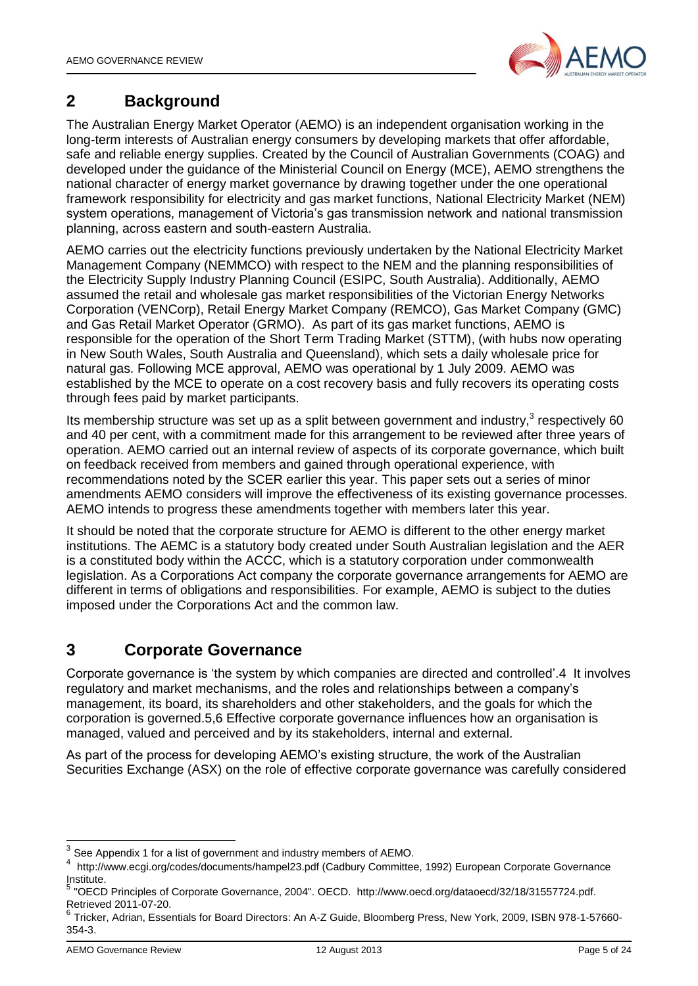

## <span id="page-4-0"></span>**2 Background**

The Australian Energy Market Operator (AEMO) is an independent organisation working in the long-term interests of Australian energy consumers by developing markets that offer affordable, safe and reliable energy supplies. Created by the Council of Australian Governments (COAG) and developed under the guidance of the Ministerial Council on Energy (MCE), AEMO strengthens the national character of energy market governance by drawing together under the one operational framework responsibility for electricity and gas market functions, National Electricity Market (NEM) system operations, management of Victoria's gas transmission network and national transmission planning, across eastern and south-eastern Australia.

AEMO carries out the electricity functions previously undertaken by the National Electricity Market Management Company (NEMMCO) with respect to the NEM and the planning responsibilities of the Electricity Supply Industry Planning Council (ESIPC, South Australia). Additionally, AEMO assumed the retail and wholesale gas market responsibilities of the Victorian Energy Networks Corporation (VENCorp), Retail Energy Market Company (REMCO), Gas Market Company (GMC) and Gas Retail Market Operator (GRMO). As part of its gas market functions, AEMO is responsible for the operation of the Short Term Trading Market (STTM), (with hubs now operating in New South Wales, South Australia and Queensland), which sets a daily wholesale price for natural gas. Following MCE approval, AEMO was operational by 1 July 2009. AEMO was established by the MCE to operate on a cost recovery basis and fully recovers its operating costs through fees paid by market participants.

Its membership structure was set up as a split between government and industry, $3$  respectively 60 and 40 per cent, with a commitment made for this arrangement to be reviewed after three years of operation. AEMO carried out an internal review of aspects of its corporate governance, which built on feedback received from members and gained through operational experience, with recommendations noted by the SCER earlier this year. This paper sets out a series of minor amendments AEMO considers will improve the effectiveness of its existing governance processes. AEMO intends to progress these amendments together with members later this year.

It should be noted that the corporate structure for AEMO is different to the other energy market institutions. The AEMC is a statutory body created under South Australian legislation and the AER is a constituted body within the ACCC, which is a statutory corporation under commonwealth legislation. As a Corporations Act company the corporate governance arrangements for AEMO are different in terms of obligations and responsibilities. For example, AEMO is subject to the duties imposed under the Corporations Act and the common law.

## <span id="page-4-1"></span>**3 Corporate Governance**

Corporate governance is 'the system by which companies are directed and controlled'.4 It involves regulatory and market mechanisms, and the roles and relationships between a company's management, its board, its shareholders and other stakeholders, and the goals for which the corporation is governed.5,6 Effective corporate governance influences how an organisation is managed, valued and perceived and by its stakeholders, internal and external.

As part of the process for developing AEMO's existing structure, the work of the Australian Securities Exchange (ASX) on the role of effective corporate governance was carefully considered

 $\frac{1}{3}$ See Appendix 1 for a list of government and industry members of AEMO.

<sup>4</sup> http://www.ecgi.org/codes/documents/hampel23.pdf (Cadbury Committee, 1992) European Corporate Governance Institute.

<sup>&</sup>lt;sup>5</sup> "OECD Principles of Corporate Governance, 2004". OECD. http://www.oecd.org/dataoecd/32/18/31557724.pdf. Retrieved 2011-07-20.

<sup>6</sup> Tricker, Adrian, Essentials for Board Directors: An A-Z Guide, Bloomberg Press, New York, 2009, ISBN 978-1-57660- 354-3.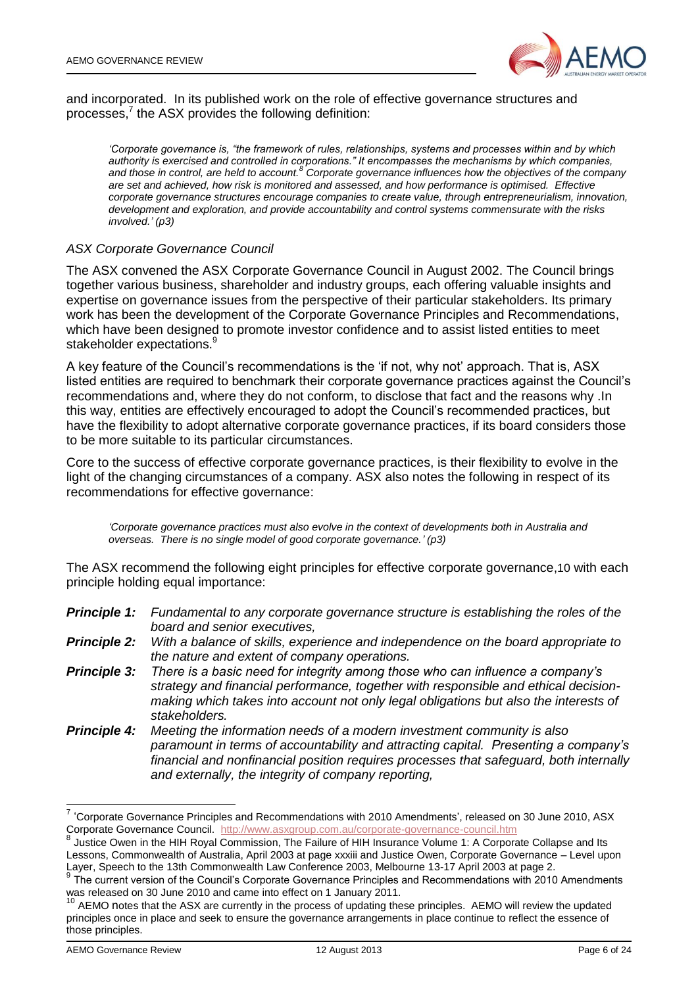

and incorporated. In its published work on the role of effective governance structures and processes, $7$  the ASX provides the following definition:

*'Corporate governance is, "the framework of rules, relationships, systems and processes within and by which authority is exercised and controlled in corporations." It encompasses the mechanisms by which companies, and those in control, are held to account.<sup>8</sup> Corporate governance influences how the objectives of the company are set and achieved, how risk is monitored and assessed, and how performance is optimised. Effective corporate governance structures encourage companies to create value, through entrepreneurialism, innovation, development and exploration, and provide accountability and control systems commensurate with the risks involved.' (p3)*

#### *ASX Corporate Governance Council*

The ASX convened the ASX Corporate Governance Council in August 2002. The Council brings together various business, shareholder and industry groups, each offering valuable insights and expertise on governance issues from the perspective of their particular stakeholders. Its primary work has been the development of the Corporate Governance Principles and Recommendations, which have been designed to promote investor confidence and to assist listed entities to meet stakeholder expectations.<sup>9</sup>

A key feature of the Council's recommendations is the 'if not, why not' approach. That is, ASX listed entities are required to benchmark their corporate governance practices against the Council's recommendations and, where they do not conform, to disclose that fact and the reasons why .In this way, entities are effectively encouraged to adopt the Council's recommended practices, but have the flexibility to adopt alternative corporate governance practices, if its board considers those to be more suitable to its particular circumstances.

Core to the success of effective corporate governance practices, is their flexibility to evolve in the light of the changing circumstances of a company. ASX also notes the following in respect of its recommendations for effective governance:

*'Corporate governance practices must also evolve in the context of developments both in Australia and overseas. There is no single model of good corporate governance.' (p3)*

The ASX recommend the following eight principles for effective corporate governance,10 with each principle holding equal importance:

- *Principle 1: Fundamental to any corporate governance structure is establishing the roles of the board and senior executives,*
- *Principle 2: With a balance of skills, experience and independence on the board appropriate to the nature and extent of company operations.*
- *Principle 3: There is a basic need for integrity among those who can influence a company's strategy and financial performance, together with responsible and ethical decisionmaking which takes into account not only legal obligations but also the interests of stakeholders.*
- *Principle 4: Meeting the information needs of a modern investment community is also paramount in terms of accountability and attracting capital. Presenting a company's financial and nonfinancial position requires processes that safeguard, both internally and externally, the integrity of company reporting,*

<sup>————————————————————&</sup>lt;br><sup>7</sup> 'Corporate Governance Principles and Recommendations with 2010 Amendments', released on 30 June 2010, ASX Corporate Governance Council. <http://www.asxgroup.com.au/corporate-governance-council.htm><br>8. Justice Owen in the HIH Boyal Commission. The Failure of HIH Incurance Valume 1: A Corporation

Justice Owen in the HIH Royal Commission, The Failure of HIH Insurance Volume 1: A Corporate Collapse and Its Lessons, Commonwealth of Australia, April 2003 at page xxxiii and Justice Owen, Corporate Governance – Level upon

Layer, Speech to the 13th Commonwealth Law Conference 2003, Melbourne 13-17 April 2003 at page 2.<br><sup>9</sup> The current version of the Council's Corporate Governance Principles and Recommendations with 2010 Amendments was released on 30 June 2010 and came into effect on 1 January 2011.

<sup>10</sup> AEMO notes that the ASX are currently in the process of updating these principles. AEMO will review the updated principles once in place and seek to ensure the governance arrangements in place continue to reflect the essence of those principles.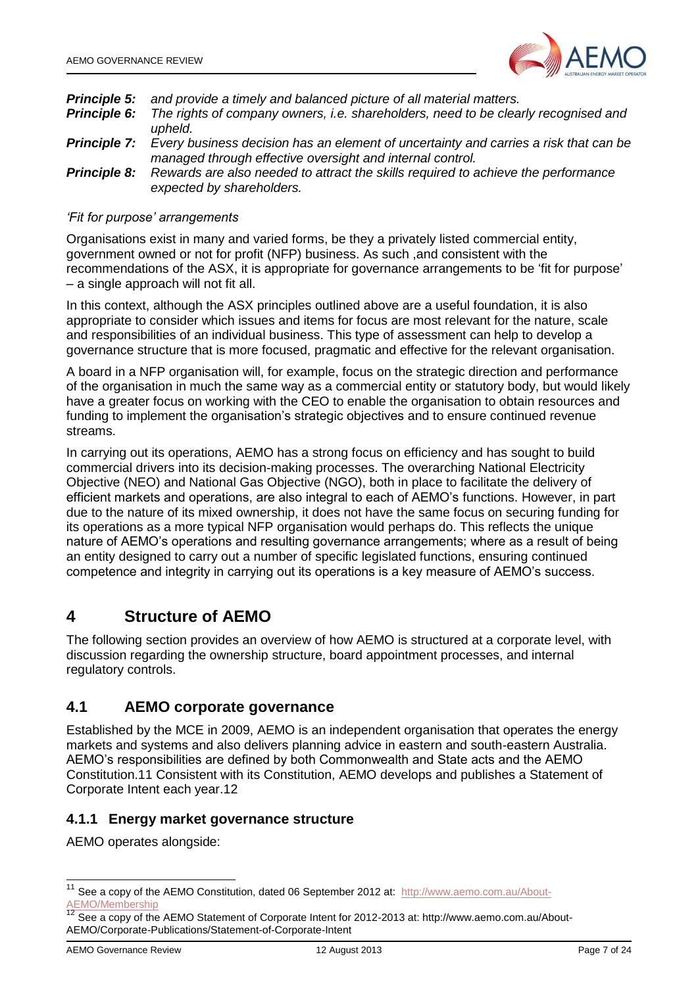

|                     | <b>Principle 5:</b> and provide a timely and balanced picture of all material matters.                                                                                |
|---------------------|-----------------------------------------------------------------------------------------------------------------------------------------------------------------------|
| <b>Principle 6:</b> | The rights of company owners, i.e. shareholders, need to be clearly recognised and<br>upheld.                                                                         |
|                     | <b>Principle 7:</b> Every business decision has an element of uncertainty and carries a risk that can be<br>managed through effective oversight and internal control. |
| <b>Principle 8:</b> | Rewards are also needed to attract the skills required to achieve the performance<br>expected by shareholders.                                                        |

#### *'Fit for purpose' arrangements*

Organisations exist in many and varied forms, be they a privately listed commercial entity, government owned or not for profit (NFP) business. As such ,and consistent with the recommendations of the ASX, it is appropriate for governance arrangements to be 'fit for purpose' – a single approach will not fit all.

In this context, although the ASX principles outlined above are a useful foundation, it is also appropriate to consider which issues and items for focus are most relevant for the nature, scale and responsibilities of an individual business. This type of assessment can help to develop a governance structure that is more focused, pragmatic and effective for the relevant organisation.

A board in a NFP organisation will, for example, focus on the strategic direction and performance of the organisation in much the same way as a commercial entity or statutory body, but would likely have a greater focus on working with the CEO to enable the organisation to obtain resources and funding to implement the organisation's strategic objectives and to ensure continued revenue streams.

In carrying out its operations, AEMO has a strong focus on efficiency and has sought to build commercial drivers into its decision-making processes. The overarching National Electricity Objective (NEO) and National Gas Objective (NGO), both in place to facilitate the delivery of efficient markets and operations, are also integral to each of AEMO's functions. However, in part due to the nature of its mixed ownership, it does not have the same focus on securing funding for its operations as a more typical NFP organisation would perhaps do. This reflects the unique nature of AEMO's operations and resulting governance arrangements; where as a result of being an entity designed to carry out a number of specific legislated functions, ensuring continued competence and integrity in carrying out its operations is a key measure of AEMO's success.

### <span id="page-6-0"></span>**4 Structure of AEMO**

The following section provides an overview of how AEMO is structured at a corporate level, with discussion regarding the ownership structure, board appointment processes, and internal regulatory controls.

#### <span id="page-6-1"></span>**4.1 AEMO corporate governance**

Established by the MCE in 2009, AEMO is an independent organisation that operates the energy markets and systems and also delivers planning advice in eastern and south-eastern Australia. AEMO's responsibilities are defined by both Commonwealth and State acts and the AEMO Constitution.11 Consistent with its Constitution, AEMO develops and publishes a Statement of Corporate Intent each year.12

#### <span id="page-6-2"></span>**4.1.1 Energy market governance structure**

AEMO operates alongside:

 $\overline{\phantom{a}}$ 

<sup>&</sup>lt;sup>11</sup> See a copy of the AEMO Constitution, dated 06 September 2012 at: [http://www.aemo.com.au/About-](http://www.aemo.com.au/About-AEMO/Membership)[AEMO/Membership](http://www.aemo.com.au/About-AEMO/Membership)

See a copy of the AEMO Statement of Corporate Intent for 2012-2013 at: http://www.aemo.com.au/About-AEMO/Corporate-Publications/Statement-of-Corporate-Intent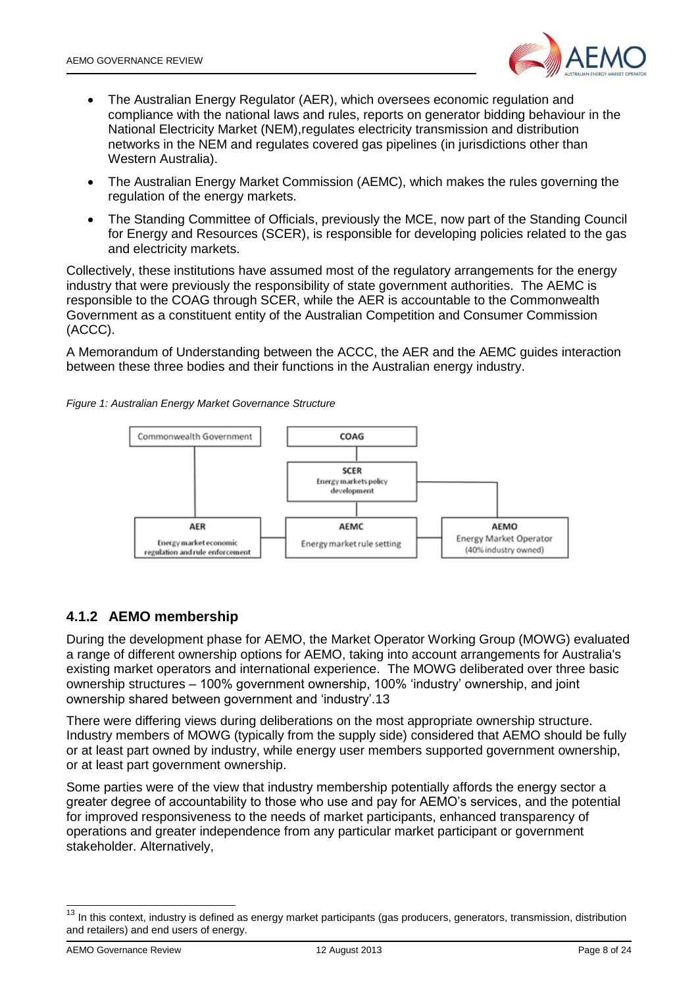

- The Australian Energy Regulator (AER), which oversees economic regulation and compliance with the national laws and rules, reports on generator bidding behaviour in the National Electricity Market (NEM),regulates electricity transmission and distribution networks in the NEM and regulates covered gas pipelines (in jurisdictions other than Western Australia).
- The Australian Energy Market Commission (AEMC), which makes the rules governing the regulation of the energy markets.
- The Standing Committee of Officials, previously the MCE, now part of the Standing Council for Energy and Resources (SCER), is responsible for developing policies related to the gas and electricity markets.

Collectively, these institutions have assumed most of the regulatory arrangements for the energy industry that were previously the responsibility of state government authorities. The AEMC is responsible to the COAG through SCER, while the AER is accountable to the Commonwealth Government as a constituent entity of the Australian Competition and Consumer Commission (ACCC).

A Memorandum of Understanding between the ACCC, the AER and the AEMC guides interaction between these three bodies and their functions in the Australian energy industry.

#### *Figure 1: Australian Energy Market Governance Structure*



#### <span id="page-7-0"></span>**4.1.2 AEMO membership**

During the development phase for AEMO, the Market Operator Working Group (MOWG) evaluated a range of different ownership options for AEMO, taking into account arrangements for Australia's existing market operators and international experience. The MOWG deliberated over three basic ownership structures – 100% government ownership, 100% 'industry' ownership, and joint ownership shared between government and 'industry'.13

There were differing views during deliberations on the most appropriate ownership structure. Industry members of MOWG (typically from the supply side) considered that AEMO should be fully or at least part owned by industry, while energy user members supported government ownership, or at least part government ownership.

Some parties were of the view that industry membership potentially affords the energy sector a greater degree of accountability to those who use and pay for AEMO's services, and the potential for improved responsiveness to the needs of market participants, enhanced transparency of operations and greater independence from any particular market participant or government stakeholder. Alternatively,

1

<sup>&</sup>lt;sup>13</sup> In this context, industry is defined as energy market participants (gas producers, generators, transmission, distribution and retailers) and end users of energy.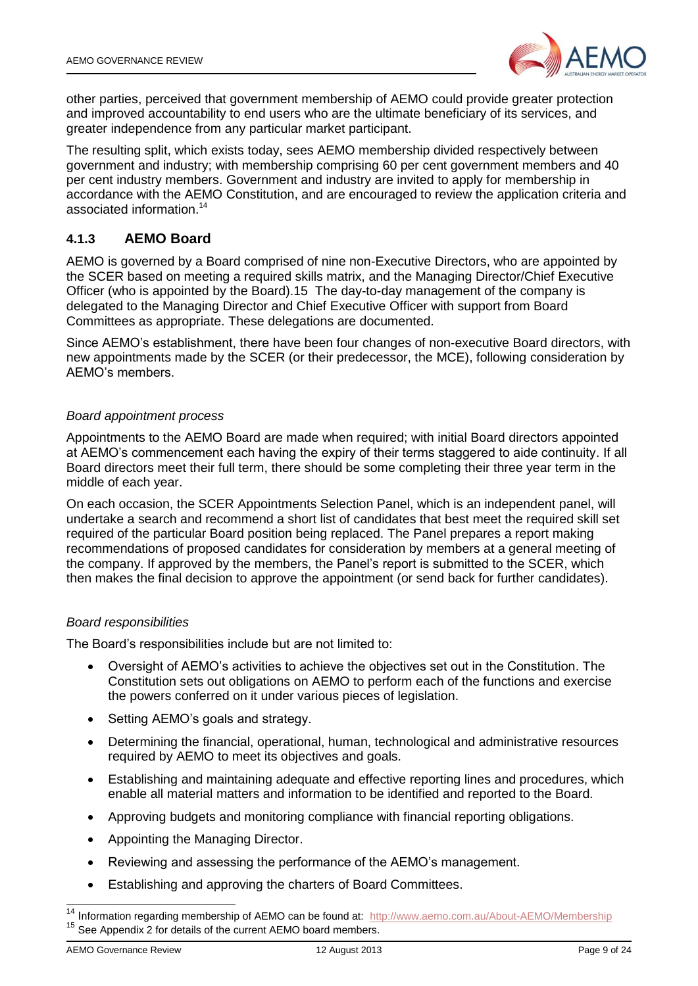

other parties, perceived that government membership of AEMO could provide greater protection and improved accountability to end users who are the ultimate beneficiary of its services, and greater independence from any particular market participant.

The resulting split, which exists today, sees AEMO membership divided respectively between government and industry; with membership comprising 60 per cent government members and 40 per cent industry members. Government and industry are invited to apply for membership in accordance with the AEMO Constitution, and are encouraged to review the application criteria and associated information.<sup>14</sup>

#### <span id="page-8-0"></span>**4.1.3 AEMO Board**

AEMO is governed by a Board comprised of nine non-Executive Directors, who are appointed by the SCER based on meeting a required skills matrix, and the Managing Director/Chief Executive Officer (who is appointed by the Board).15 The day-to-day management of the company is delegated to the Managing Director and Chief Executive Officer with support from Board Committees as appropriate. These delegations are documented.

Since AEMO's establishment, there have been four changes of non-executive Board directors, with new appointments made by the SCER (or their predecessor, the MCE), following consideration by AEMO's members.

#### *Board appointment process*

Appointments to the AEMO Board are made when required; with initial Board directors appointed at AEMO's commencement each having the expiry of their terms staggered to aide continuity. If all Board directors meet their full term, there should be some completing their three year term in the middle of each year.

On each occasion, the SCER Appointments Selection Panel, which is an independent panel, will undertake a search and recommend a short list of candidates that best meet the required skill set required of the particular Board position being replaced. The Panel prepares a report making recommendations of proposed candidates for consideration by members at a general meeting of the company. If approved by the members, the Panel's report is submitted to the SCER, which then makes the final decision to approve the appointment (or send back for further candidates).

#### *Board responsibilities*

The Board's responsibilities include but are not limited to:

- Oversight of AEMO's activities to achieve the objectives set out in the Constitution. The Constitution sets out obligations on AEMO to perform each of the functions and exercise the powers conferred on it under various pieces of legislation.
- Setting AEMO's goals and strategy.
- Determining the financial, operational, human, technological and administrative resources required by AEMO to meet its objectives and goals.
- Establishing and maintaining adequate and effective reporting lines and procedures, which enable all material matters and information to be identified and reported to the Board.
- Approving budgets and monitoring compliance with financial reporting obligations.
- Appointing the Managing Director.
- Reviewing and assessing the performance of the AEMO's management.
- Establishing and approving the charters of Board Committees.

1

<sup>&</sup>lt;sup>14</sup> Information regarding membership of AEMO can be found at: <http://www.aemo.com.au/About-AEMO/Membership> <sup>15</sup> See Appendix 2 for details of the current AEMO board members.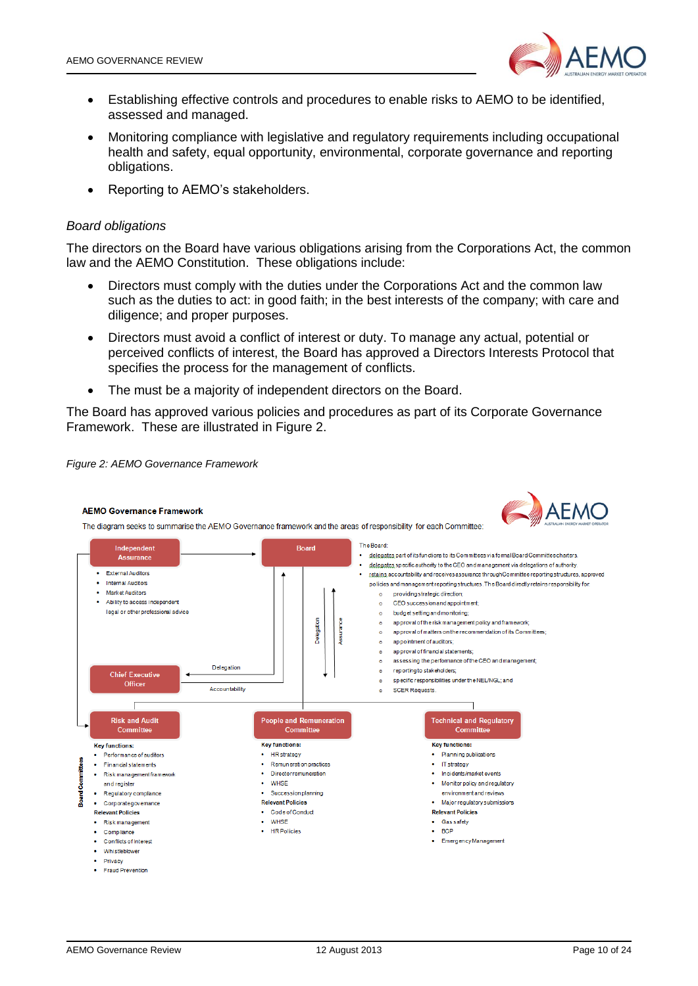

- Establishing effective controls and procedures to enable risks to AEMO to be identified, assessed and managed.
- Monitoring compliance with legislative and regulatory requirements including occupational health and safety, equal opportunity, environmental, corporate governance and reporting obligations.
- Reporting to AEMO's stakeholders.

#### *Board obligations*

The directors on the Board have various obligations arising from the Corporations Act, the common law and the AEMO Constitution. These obligations include:

- Directors must comply with the duties under the Corporations Act and the common law such as the duties to act: in good faith; in the best interests of the company; with care and diligence; and proper purposes.
- Directors must avoid a conflict of interest or duty. To manage any actual, potential or perceived conflicts of interest, the Board has approved a Directors Interests Protocol that specifies the process for the management of conflicts.
- The must be a majority of independent directors on the Board.

The Board has approved various policies and procedures as part of its Corporate Governance Framework. These are illustrated in Figure 2.

#### *Figure 2: AEMO Governance Framework*

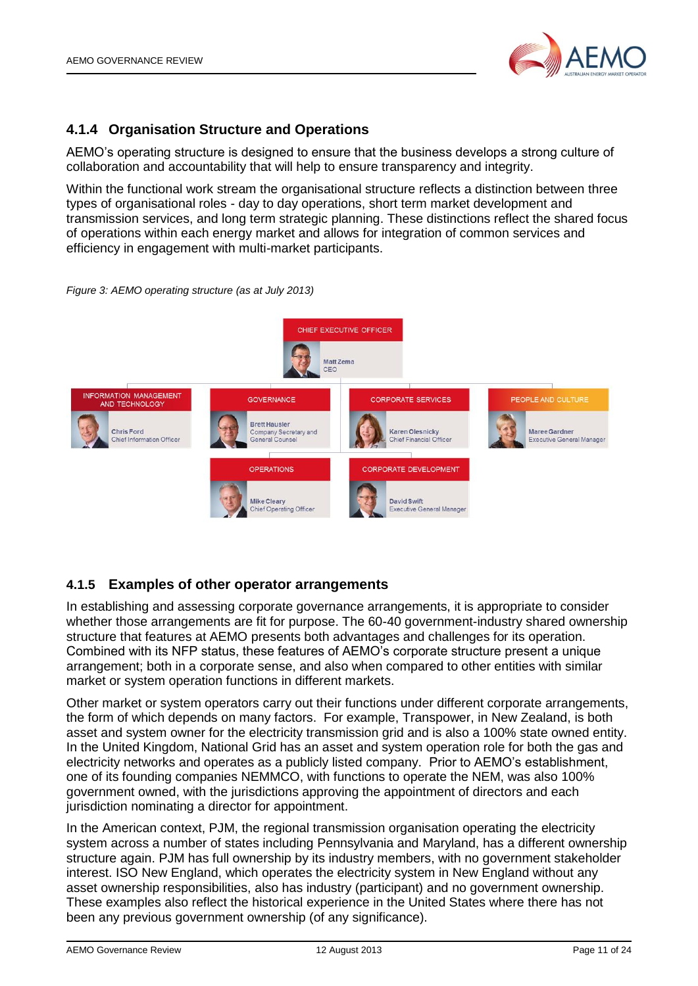

#### <span id="page-10-0"></span>**4.1.4 Organisation Structure and Operations**

AEMO's operating structure is designed to ensure that the business develops a strong culture of collaboration and accountability that will help to ensure transparency and integrity.

Within the functional work stream the organisational structure reflects a distinction between three types of organisational roles - day to day operations, short term market development and transmission services, and long term strategic planning. These distinctions reflect the shared focus of operations within each energy market and allows for integration of common services and efficiency in engagement with multi-market participants.

*Figure 3: AEMO operating structure (as at July 2013)*



#### <span id="page-10-1"></span>**4.1.5 Examples of other operator arrangements**

In establishing and assessing corporate governance arrangements, it is appropriate to consider whether those arrangements are fit for purpose. The 60-40 government-industry shared ownership structure that features at AEMO presents both advantages and challenges for its operation. Combined with its NFP status, these features of AEMO's corporate structure present a unique arrangement; both in a corporate sense, and also when compared to other entities with similar market or system operation functions in different markets.

Other market or system operators carry out their functions under different corporate arrangements, the form of which depends on many factors. For example, Transpower, in New Zealand, is both asset and system owner for the electricity transmission grid and is also a 100% state owned entity. In the United Kingdom, National Grid has an asset and system operation role for both the gas and electricity networks and operates as a publicly listed company. Prior to AEMO's establishment, one of its founding companies NEMMCO, with functions to operate the NEM, was also 100% government owned, with the jurisdictions approving the appointment of directors and each jurisdiction nominating a director for appointment.

In the American context, PJM, the regional transmission organisation operating the electricity system across a number of states including Pennsylvania and Maryland, has a different ownership structure again. PJM has full ownership by its industry members, with no government stakeholder interest. ISO New England, which operates the electricity system in New England without any asset ownership responsibilities, also has industry (participant) and no government ownership. These examples also reflect the historical experience in the United States where there has not been any previous government ownership (of any significance).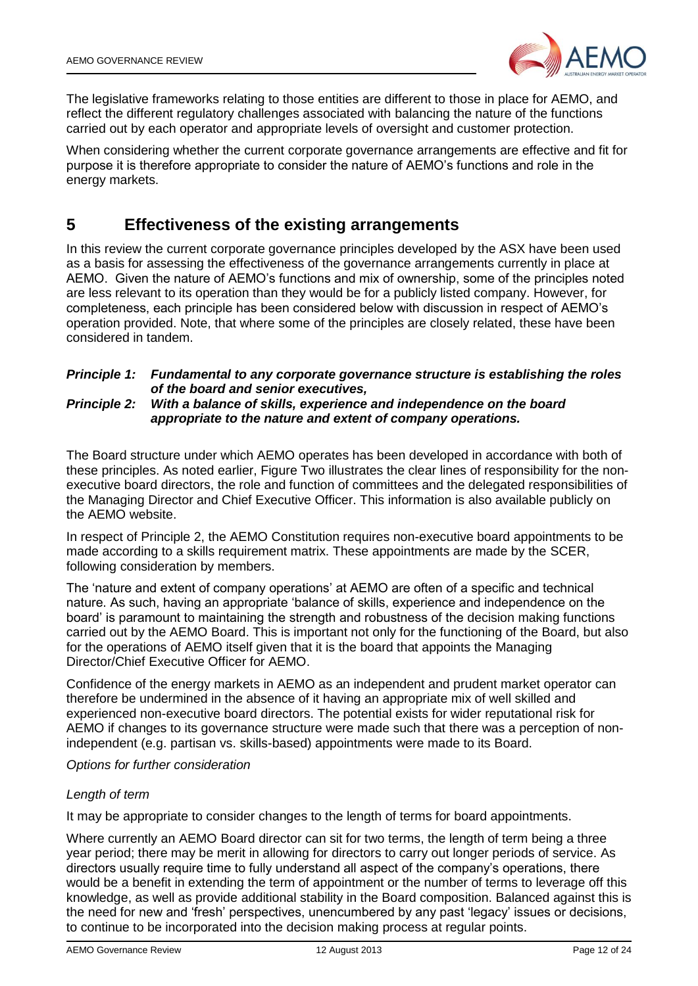

The legislative frameworks relating to those entities are different to those in place for AEMO, and reflect the different regulatory challenges associated with balancing the nature of the functions carried out by each operator and appropriate levels of oversight and customer protection.

When considering whether the current corporate governance arrangements are effective and fit for purpose it is therefore appropriate to consider the nature of AEMO's functions and role in the energy markets.

### <span id="page-11-0"></span>**5 Effectiveness of the existing arrangements**

In this review the current corporate governance principles developed by the ASX have been used as a basis for assessing the effectiveness of the governance arrangements currently in place at AEMO. Given the nature of AEMO's functions and mix of ownership, some of the principles noted are less relevant to its operation than they would be for a publicly listed company. However, for completeness, each principle has been considered below with discussion in respect of AEMO's operation provided. Note, that where some of the principles are closely related, these have been considered in tandem.

#### *Principle 1: Fundamental to any corporate governance structure is establishing the roles of the board and senior executives,*

*Principle 2: With a balance of skills, experience and independence on the board appropriate to the nature and extent of company operations.*

The Board structure under which AEMO operates has been developed in accordance with both of these principles. As noted earlier, Figure Two illustrates the clear lines of responsibility for the nonexecutive board directors, the role and function of committees and the delegated responsibilities of the Managing Director and Chief Executive Officer. This information is also available publicly on the AEMO website.

In respect of Principle 2, the AEMO Constitution requires non-executive board appointments to be made according to a skills requirement matrix. These appointments are made by the SCER, following consideration by members.

The 'nature and extent of company operations' at AEMO are often of a specific and technical nature. As such, having an appropriate 'balance of skills, experience and independence on the board' is paramount to maintaining the strength and robustness of the decision making functions carried out by the AEMO Board. This is important not only for the functioning of the Board, but also for the operations of AEMO itself given that it is the board that appoints the Managing Director/Chief Executive Officer for AEMO.

Confidence of the energy markets in AEMO as an independent and prudent market operator can therefore be undermined in the absence of it having an appropriate mix of well skilled and experienced non-executive board directors. The potential exists for wider reputational risk for AEMO if changes to its governance structure were made such that there was a perception of nonindependent (e.g. partisan vs. skills-based) appointments were made to its Board.

#### *Options for further consideration*

#### *Length of term*

It may be appropriate to consider changes to the length of terms for board appointments.

Where currently an AEMO Board director can sit for two terms, the length of term being a three year period; there may be merit in allowing for directors to carry out longer periods of service. As directors usually require time to fully understand all aspect of the company's operations, there would be a benefit in extending the term of appointment or the number of terms to leverage off this knowledge, as well as provide additional stability in the Board composition. Balanced against this is the need for new and 'fresh' perspectives, unencumbered by any past 'legacy' issues or decisions, to continue to be incorporated into the decision making process at regular points.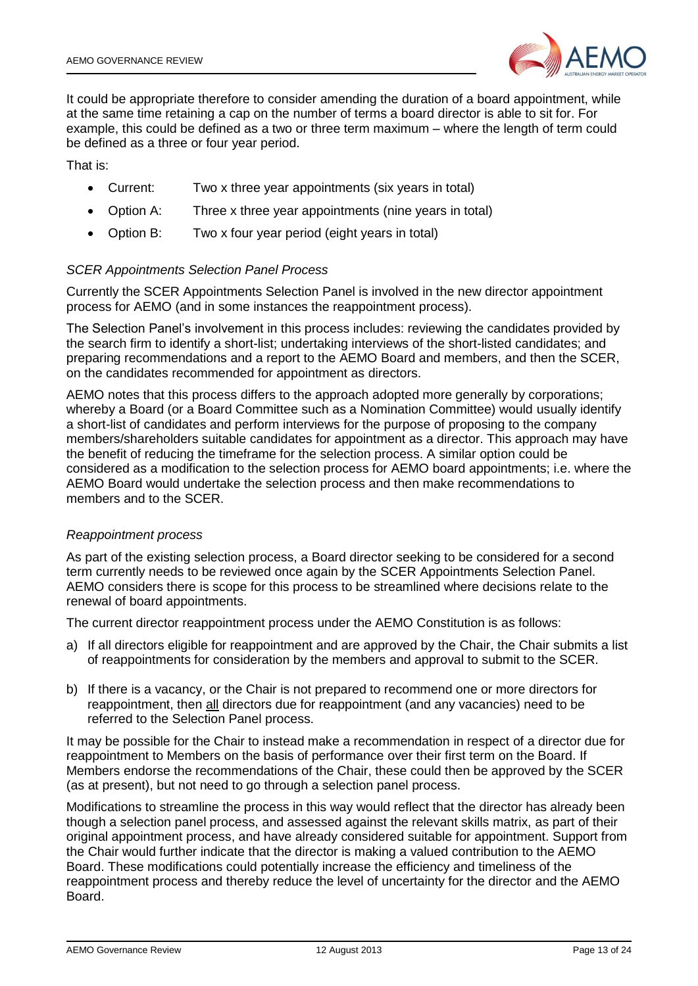

It could be appropriate therefore to consider amending the duration of a board appointment, while at the same time retaining a cap on the number of terms a board director is able to sit for. For example, this could be defined as a two or three term maximum – where the length of term could be defined as a three or four year period.

That is:

- Current: Two x three year appointments (six years in total)
- Option A: Three x three year appointments (nine years in total)
- Option B: Two x four year period (eight years in total)

#### *SCER Appointments Selection Panel Process*

Currently the SCER Appointments Selection Panel is involved in the new director appointment process for AEMO (and in some instances the reappointment process).

The Selection Panel's involvement in this process includes: reviewing the candidates provided by the search firm to identify a short-list; undertaking interviews of the short-listed candidates; and preparing recommendations and a report to the AEMO Board and members, and then the SCER, on the candidates recommended for appointment as directors.

AEMO notes that this process differs to the approach adopted more generally by corporations; whereby a Board (or a Board Committee such as a Nomination Committee) would usually identify a short-list of candidates and perform interviews for the purpose of proposing to the company members/shareholders suitable candidates for appointment as a director. This approach may have the benefit of reducing the timeframe for the selection process. A similar option could be considered as a modification to the selection process for AEMO board appointments; i.e. where the AEMO Board would undertake the selection process and then make recommendations to members and to the SCER.

#### *Reappointment process*

As part of the existing selection process, a Board director seeking to be considered for a second term currently needs to be reviewed once again by the SCER Appointments Selection Panel. AEMO considers there is scope for this process to be streamlined where decisions relate to the renewal of board appointments.

The current director reappointment process under the AEMO Constitution is as follows:

- a) If all directors eligible for reappointment and are approved by the Chair, the Chair submits a list of reappointments for consideration by the members and approval to submit to the SCER.
- b) If there is a vacancy, or the Chair is not prepared to recommend one or more directors for reappointment, then all directors due for reappointment (and any vacancies) need to be referred to the Selection Panel process.

It may be possible for the Chair to instead make a recommendation in respect of a director due for reappointment to Members on the basis of performance over their first term on the Board. If Members endorse the recommendations of the Chair, these could then be approved by the SCER (as at present), but not need to go through a selection panel process.

Modifications to streamline the process in this way would reflect that the director has already been though a selection panel process, and assessed against the relevant skills matrix, as part of their original appointment process, and have already considered suitable for appointment. Support from the Chair would further indicate that the director is making a valued contribution to the AEMO Board. These modifications could potentially increase the efficiency and timeliness of the reappointment process and thereby reduce the level of uncertainty for the director and the AEMO Board.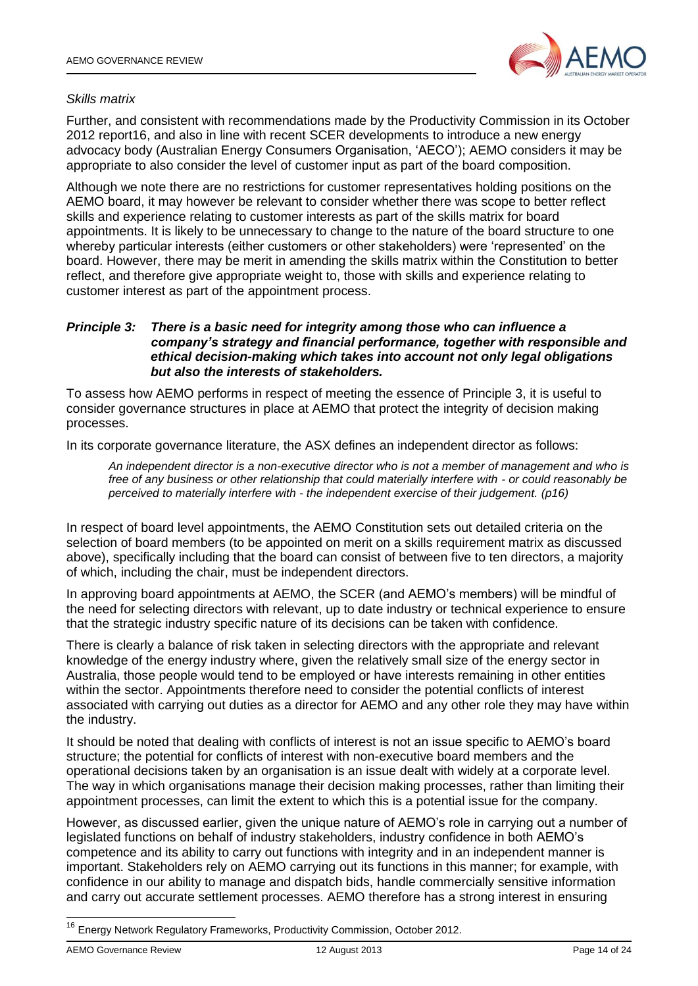

#### *Skills matrix*

Further, and consistent with recommendations made by the Productivity Commission in its October 2012 report16, and also in line with recent SCER developments to introduce a new energy advocacy body (Australian Energy Consumers Organisation, 'AECO'); AEMO considers it may be appropriate to also consider the level of customer input as part of the board composition.

Although we note there are no restrictions for customer representatives holding positions on the AEMO board, it may however be relevant to consider whether there was scope to better reflect skills and experience relating to customer interests as part of the skills matrix for board appointments. It is likely to be unnecessary to change to the nature of the board structure to one whereby particular interests (either customers or other stakeholders) were 'represented' on the board. However, there may be merit in amending the skills matrix within the Constitution to better reflect, and therefore give appropriate weight to, those with skills and experience relating to customer interest as part of the appointment process.

#### *Principle 3: There is a basic need for integrity among those who can influence a company's strategy and financial performance, together with responsible and ethical decision-making which takes into account not only legal obligations but also the interests of stakeholders.*

To assess how AEMO performs in respect of meeting the essence of Principle 3, it is useful to consider governance structures in place at AEMO that protect the integrity of decision making processes.

In its corporate governance literature, the ASX defines an independent director as follows:

*An independent director is a non-executive director who is not a member of management and who is free of any business or other relationship that could materially interfere with - or could reasonably be perceived to materially interfere with - the independent exercise of their judgement. (p16)*

In respect of board level appointments, the AEMO Constitution sets out detailed criteria on the selection of board members (to be appointed on merit on a skills requirement matrix as discussed above), specifically including that the board can consist of between five to ten directors, a majority of which, including the chair, must be independent directors.

In approving board appointments at AEMO, the SCER (and AEMO's members) will be mindful of the need for selecting directors with relevant, up to date industry or technical experience to ensure that the strategic industry specific nature of its decisions can be taken with confidence.

There is clearly a balance of risk taken in selecting directors with the appropriate and relevant knowledge of the energy industry where, given the relatively small size of the energy sector in Australia, those people would tend to be employed or have interests remaining in other entities within the sector. Appointments therefore need to consider the potential conflicts of interest associated with carrying out duties as a director for AEMO and any other role they may have within the industry.

It should be noted that dealing with conflicts of interest is not an issue specific to AEMO's board structure; the potential for conflicts of interest with non-executive board members and the operational decisions taken by an organisation is an issue dealt with widely at a corporate level. The way in which organisations manage their decision making processes, rather than limiting their appointment processes, can limit the extent to which this is a potential issue for the company.

However, as discussed earlier, given the unique nature of AEMO's role in carrying out a number of legislated functions on behalf of industry stakeholders, industry confidence in both AEMO's competence and its ability to carry out functions with integrity and in an independent manner is important. Stakeholders rely on AEMO carrying out its functions in this manner; for example, with confidence in our ability to manage and dispatch bids, handle commercially sensitive information and carry out accurate settlement processes. AEMO therefore has a strong interest in ensuring

 $\overline{\phantom{a}}$ 

<sup>&</sup>lt;sup>16</sup> Energy Network Regulatory Frameworks, Productivity Commission, October 2012.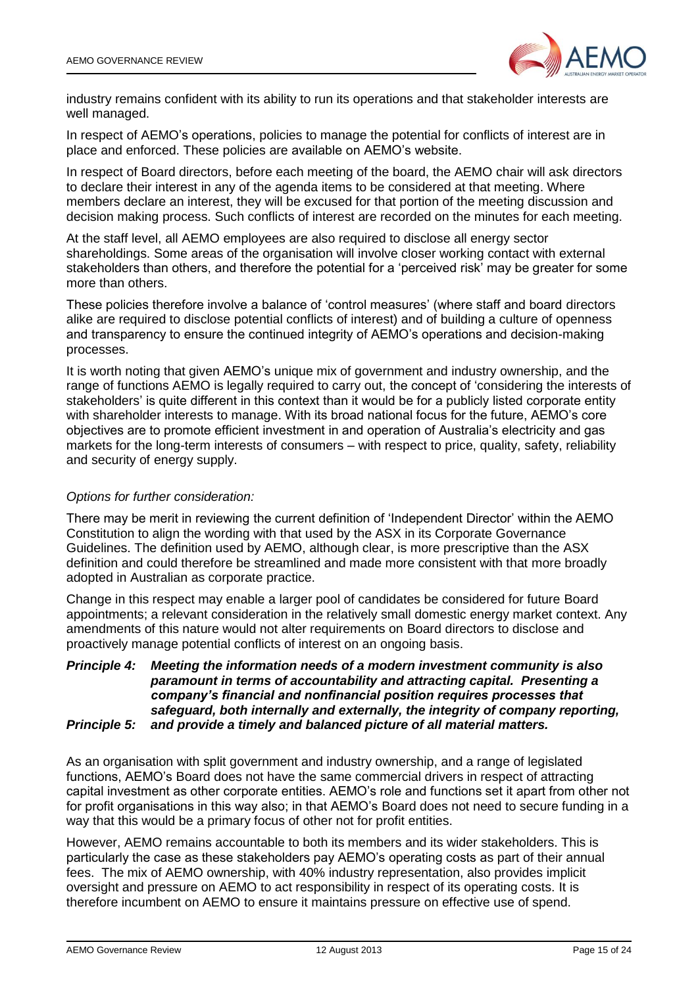

industry remains confident with its ability to run its operations and that stakeholder interests are well managed.

In respect of AEMO's operations, policies to manage the potential for conflicts of interest are in place and enforced. These policies are available on AEMO's website.

In respect of Board directors, before each meeting of the board, the AEMO chair will ask directors to declare their interest in any of the agenda items to be considered at that meeting. Where members declare an interest, they will be excused for that portion of the meeting discussion and decision making process. Such conflicts of interest are recorded on the minutes for each meeting.

At the staff level, all AEMO employees are also required to disclose all energy sector shareholdings. Some areas of the organisation will involve closer working contact with external stakeholders than others, and therefore the potential for a 'perceived risk' may be greater for some more than others.

These policies therefore involve a balance of 'control measures' (where staff and board directors alike are required to disclose potential conflicts of interest) and of building a culture of openness and transparency to ensure the continued integrity of AEMO's operations and decision-making processes.

It is worth noting that given AEMO's unique mix of government and industry ownership, and the range of functions AEMO is legally required to carry out, the concept of 'considering the interests of stakeholders' is quite different in this context than it would be for a publicly listed corporate entity with shareholder interests to manage. With its broad national focus for the future, AEMO's core objectives are to promote efficient investment in and operation of Australia's electricity and gas markets for the long-term interests of consumers – with respect to price, quality, safety, reliability and security of energy supply.

#### *Options for further consideration:*

There may be merit in reviewing the current definition of 'Independent Director' within the AEMO Constitution to align the wording with that used by the ASX in its Corporate Governance Guidelines. The definition used by AEMO, although clear, is more prescriptive than the ASX definition and could therefore be streamlined and made more consistent with that more broadly adopted in Australian as corporate practice.

Change in this respect may enable a larger pool of candidates be considered for future Board appointments; a relevant consideration in the relatively small domestic energy market context. Any amendments of this nature would not alter requirements on Board directors to disclose and proactively manage potential conflicts of interest on an ongoing basis.

#### *Principle 4: Meeting the information needs of a modern investment community is also paramount in terms of accountability and attracting capital. Presenting a company's financial and nonfinancial position requires processes that safeguard, both internally and externally, the integrity of company reporting, Principle 5: and provide a timely and balanced picture of all material matters.*

As an organisation with split government and industry ownership, and a range of legislated functions, AEMO's Board does not have the same commercial drivers in respect of attracting capital investment as other corporate entities. AEMO's role and functions set it apart from other not for profit organisations in this way also; in that AEMO's Board does not need to secure funding in a way that this would be a primary focus of other not for profit entities.

However, AEMO remains accountable to both its members and its wider stakeholders. This is particularly the case as these stakeholders pay AEMO's operating costs as part of their annual fees. The mix of AEMO ownership, with 40% industry representation, also provides implicit oversight and pressure on AEMO to act responsibility in respect of its operating costs. It is therefore incumbent on AEMO to ensure it maintains pressure on effective use of spend.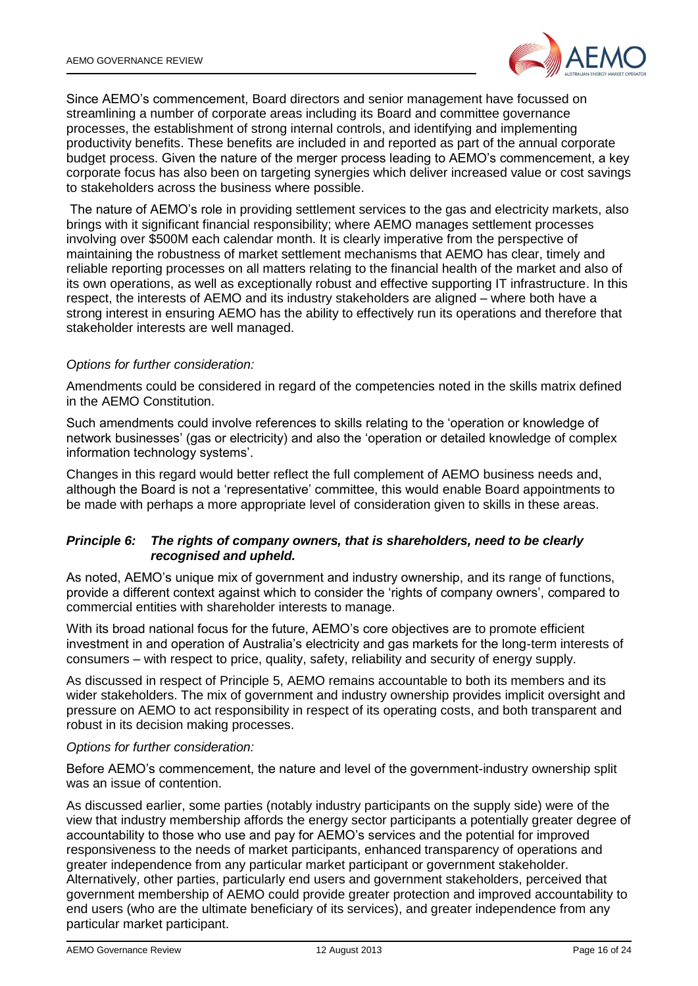

Since AEMO's commencement, Board directors and senior management have focussed on streamlining a number of corporate areas including its Board and committee governance processes, the establishment of strong internal controls, and identifying and implementing productivity benefits. These benefits are included in and reported as part of the annual corporate budget process. Given the nature of the merger process leading to AEMO's commencement, a key corporate focus has also been on targeting synergies which deliver increased value or cost savings to stakeholders across the business where possible.

The nature of AEMO's role in providing settlement services to the gas and electricity markets, also brings with it significant financial responsibility; where AEMO manages settlement processes involving over \$500M each calendar month. It is clearly imperative from the perspective of maintaining the robustness of market settlement mechanisms that AEMO has clear, timely and reliable reporting processes on all matters relating to the financial health of the market and also of its own operations, as well as exceptionally robust and effective supporting IT infrastructure. In this respect, the interests of AEMO and its industry stakeholders are aligned – where both have a strong interest in ensuring AEMO has the ability to effectively run its operations and therefore that stakeholder interests are well managed.

#### *Options for further consideration:*

Amendments could be considered in regard of the competencies noted in the skills matrix defined in the AEMO Constitution.

Such amendments could involve references to skills relating to the 'operation or knowledge of network businesses' (gas or electricity) and also the 'operation or detailed knowledge of complex information technology systems'.

Changes in this regard would better reflect the full complement of AEMO business needs and, although the Board is not a 'representative' committee, this would enable Board appointments to be made with perhaps a more appropriate level of consideration given to skills in these areas.

#### *Principle 6: The rights of company owners, that is shareholders, need to be clearly recognised and upheld.*

As noted, AEMO's unique mix of government and industry ownership, and its range of functions, provide a different context against which to consider the 'rights of company owners', compared to commercial entities with shareholder interests to manage.

With its broad national focus for the future, AEMO's core objectives are to promote efficient investment in and operation of Australia's electricity and gas markets for the long-term interests of consumers – with respect to price, quality, safety, reliability and security of energy supply.

As discussed in respect of Principle 5, AEMO remains accountable to both its members and its wider stakeholders. The mix of government and industry ownership provides implicit oversight and pressure on AEMO to act responsibility in respect of its operating costs, and both transparent and robust in its decision making processes.

#### *Options for further consideration:*

Before AEMO's commencement, the nature and level of the government-industry ownership split was an issue of contention.

As discussed earlier, some parties (notably industry participants on the supply side) were of the view that industry membership affords the energy sector participants a potentially greater degree of accountability to those who use and pay for AEMO's services and the potential for improved responsiveness to the needs of market participants, enhanced transparency of operations and greater independence from any particular market participant or government stakeholder. Alternatively, other parties, particularly end users and government stakeholders, perceived that government membership of AEMO could provide greater protection and improved accountability to end users (who are the ultimate beneficiary of its services), and greater independence from any particular market participant.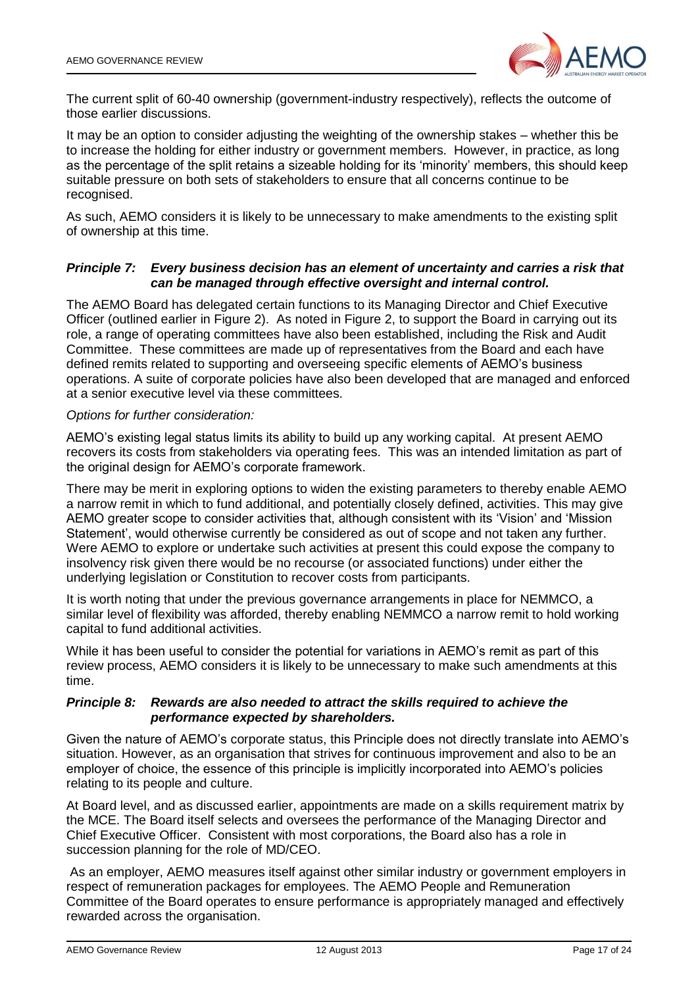

The current split of 60-40 ownership (government-industry respectively), reflects the outcome of those earlier discussions.

It may be an option to consider adjusting the weighting of the ownership stakes – whether this be to increase the holding for either industry or government members. However, in practice, as long as the percentage of the split retains a sizeable holding for its 'minority' members, this should keep suitable pressure on both sets of stakeholders to ensure that all concerns continue to be recognised.

As such, AEMO considers it is likely to be unnecessary to make amendments to the existing split of ownership at this time.

#### *Principle 7: Every business decision has an element of uncertainty and carries a risk that can be managed through effective oversight and internal control.*

The AEMO Board has delegated certain functions to its Managing Director and Chief Executive Officer (outlined earlier in Figure 2). As noted in Figure 2, to support the Board in carrying out its role, a range of operating committees have also been established, including the Risk and Audit Committee. These committees are made up of representatives from the Board and each have defined remits related to supporting and overseeing specific elements of AEMO's business operations. A suite of corporate policies have also been developed that are managed and enforced at a senior executive level via these committees.

#### *Options for further consideration:*

AEMO's existing legal status limits its ability to build up any working capital. At present AEMO recovers its costs from stakeholders via operating fees. This was an intended limitation as part of the original design for AEMO's corporate framework.

There may be merit in exploring options to widen the existing parameters to thereby enable AEMO a narrow remit in which to fund additional, and potentially closely defined, activities. This may give AEMO greater scope to consider activities that, although consistent with its 'Vision' and 'Mission Statement', would otherwise currently be considered as out of scope and not taken any further. Were AEMO to explore or undertake such activities at present this could expose the company to insolvency risk given there would be no recourse (or associated functions) under either the underlying legislation or Constitution to recover costs from participants.

It is worth noting that under the previous governance arrangements in place for NEMMCO, a similar level of flexibility was afforded, thereby enabling NEMMCO a narrow remit to hold working capital to fund additional activities.

While it has been useful to consider the potential for variations in AEMO's remit as part of this review process, AEMO considers it is likely to be unnecessary to make such amendments at this time.

#### *Principle 8: Rewards are also needed to attract the skills required to achieve the performance expected by shareholders.*

Given the nature of AEMO's corporate status, this Principle does not directly translate into AEMO's situation. However, as an organisation that strives for continuous improvement and also to be an employer of choice, the essence of this principle is implicitly incorporated into AEMO's policies relating to its people and culture.

At Board level, and as discussed earlier, appointments are made on a skills requirement matrix by the MCE. The Board itself selects and oversees the performance of the Managing Director and Chief Executive Officer. Consistent with most corporations, the Board also has a role in succession planning for the role of MD/CEO.

As an employer, AEMO measures itself against other similar industry or government employers in respect of remuneration packages for employees. The AEMO People and Remuneration Committee of the Board operates to ensure performance is appropriately managed and effectively rewarded across the organisation.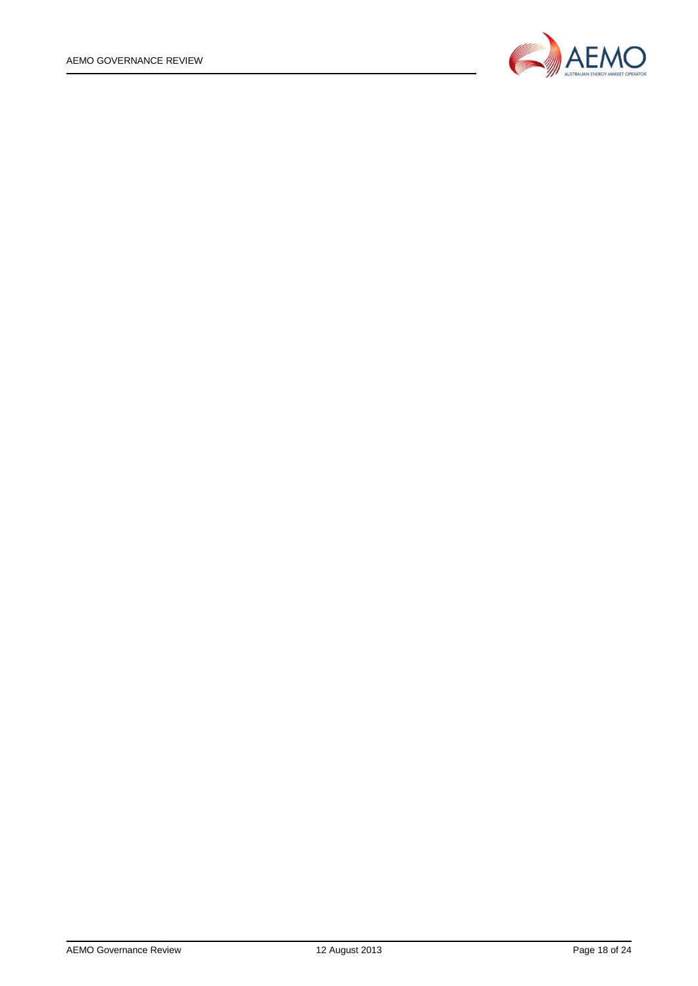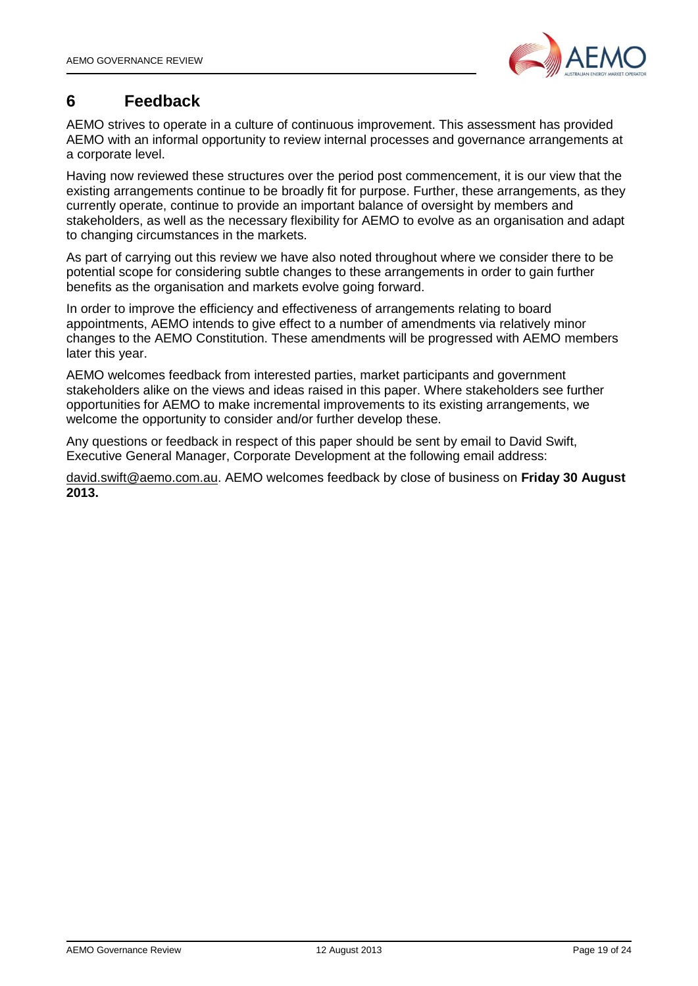

## <span id="page-18-0"></span>**6 Feedback**

AEMO strives to operate in a culture of continuous improvement. This assessment has provided AEMO with an informal opportunity to review internal processes and governance arrangements at a corporate level.

Having now reviewed these structures over the period post commencement, it is our view that the existing arrangements continue to be broadly fit for purpose. Further, these arrangements, as they currently operate, continue to provide an important balance of oversight by members and stakeholders, as well as the necessary flexibility for AEMO to evolve as an organisation and adapt to changing circumstances in the markets.

As part of carrying out this review we have also noted throughout where we consider there to be potential scope for considering subtle changes to these arrangements in order to gain further benefits as the organisation and markets evolve going forward.

In order to improve the efficiency and effectiveness of arrangements relating to board appointments, AEMO intends to give effect to a number of amendments via relatively minor changes to the AEMO Constitution. These amendments will be progressed with AEMO members later this year.

AEMO welcomes feedback from interested parties, market participants and government stakeholders alike on the views and ideas raised in this paper. Where stakeholders see further opportunities for AEMO to make incremental improvements to its existing arrangements, we welcome the opportunity to consider and/or further develop these.

Any questions or feedback in respect of this paper should be sent by email to David Swift, Executive General Manager, Corporate Development at the following email address:

[david.swift@aemo.com.au.](mailto:david.swift@aemo.com.au) AEMO welcomes feedback by close of business on **Friday 30 August 2013.**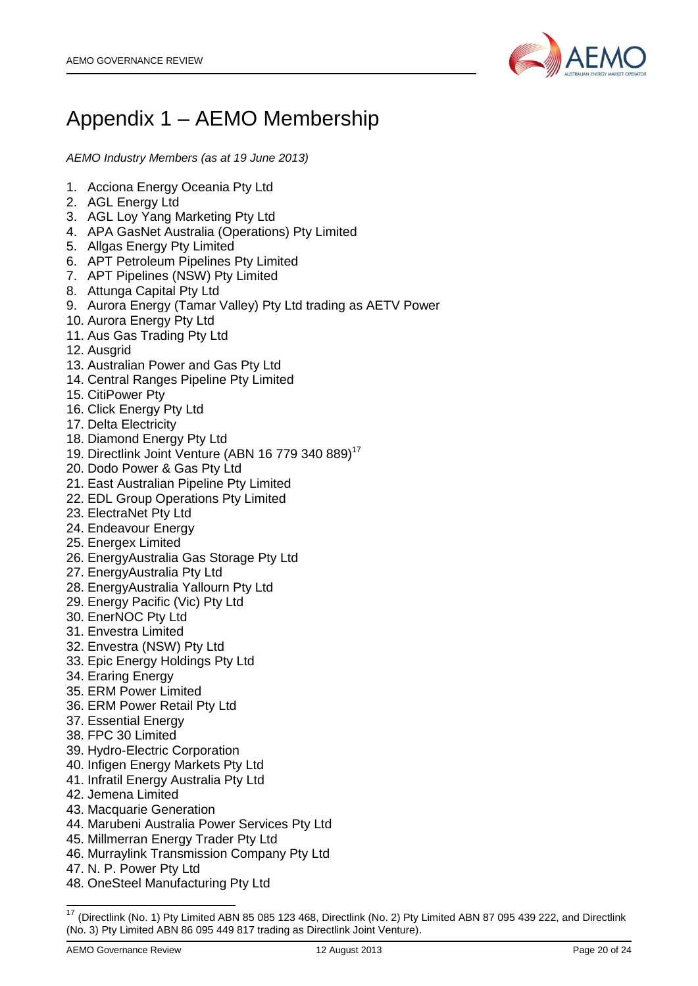

## Appendix 1 – AEMO Membership

*AEMO Industry Members (as at 19 June 2013)*

- 1. Acciona Energy Oceania Pty Ltd
- 2. AGL Energy Ltd
- 3. AGL Loy Yang Marketing Pty Ltd
- 4. APA GasNet Australia (Operations) Pty Limited
- 5. Allgas Energy Pty Limited
- 6. APT Petroleum Pipelines Pty Limited
- 7. APT Pipelines (NSW) Pty Limited
- 8. Attunga Capital Pty Ltd
- 9. Aurora Energy (Tamar Valley) Pty Ltd trading as AETV Power
- 10. Aurora Energy Pty Ltd
- 11. Aus Gas Trading Pty Ltd
- 12. Ausgrid
- 13. Australian Power and Gas Pty Ltd
- 14. Central Ranges Pipeline Pty Limited
- 15. CitiPower Pty
- 16. Click Energy Pty Ltd
- 17. Delta Electricity
- 18. Diamond Energy Pty Ltd
- 19. Directlink Joint Venture (ABN 16 779 340 889)<sup>17</sup>
- 20. Dodo Power & Gas Pty Ltd
- 21. East Australian Pipeline Pty Limited
- 22. EDL Group Operations Pty Limited
- 23. ElectraNet Pty Ltd
- 24. Endeavour Energy
- 25. Energex Limited
- 26. EnergyAustralia Gas Storage Pty Ltd
- 27. EnergyAustralia Pty Ltd
- 28. EnergyAustralia Yallourn Pty Ltd
- 29. Energy Pacific (Vic) Pty Ltd
- 30. EnerNOC Pty Ltd
- 31. Envestra Limited
- 32. Envestra (NSW) Pty Ltd
- 33. Epic Energy Holdings Pty Ltd
- 34. Eraring Energy
- 35. ERM Power Limited
- 36. ERM Power Retail Pty Ltd
- 37. Essential Energy
- 38. FPC 30 Limited
- 39. Hydro-Electric Corporation
- 40. Infigen Energy Markets Pty Ltd
- 41. Infratil Energy Australia Pty Ltd
- 42. Jemena Limited
- 43. Macquarie Generation
- 44. Marubeni Australia Power Services Pty Ltd
- 45. Millmerran Energy Trader Pty Ltd
- 46. Murraylink Transmission Company Pty Ltd
- 47. N. P. Power Pty Ltd
- 48. OneSteel Manufacturing Pty Ltd

1

 $17$  (Directlink (No. 1) Pty Limited ABN 85 085 123 468, Directlink (No. 2) Pty Limited ABN 87 095 439 222, and Directlink (No. 3) Pty Limited ABN 86 095 449 817 trading as Directlink Joint Venture).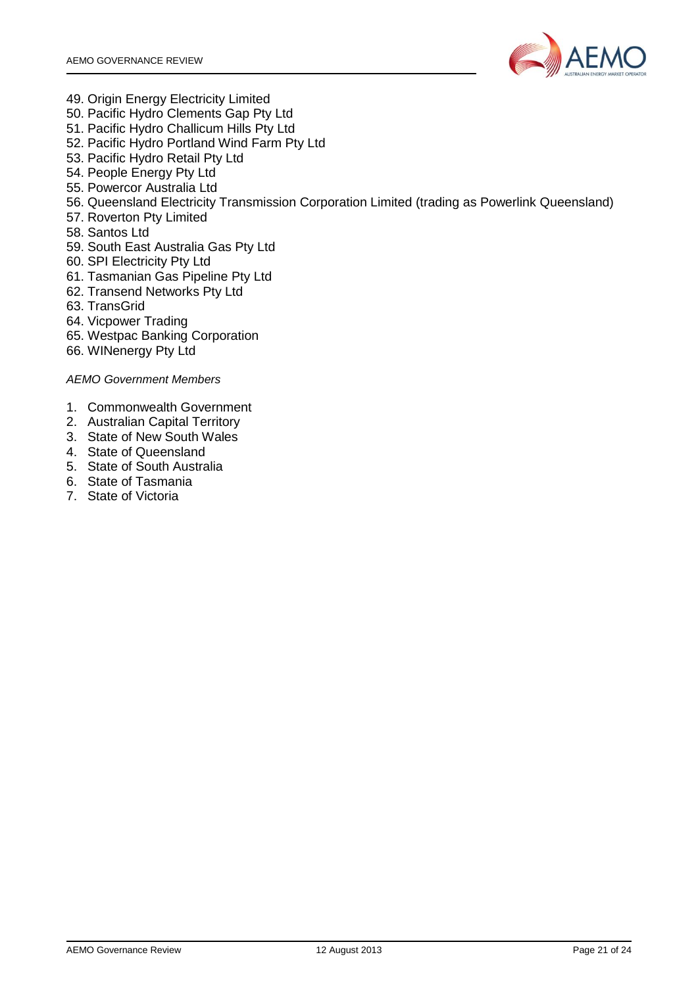

- 49. Origin Energy Electricity Limited
- 50. Pacific Hydro Clements Gap Pty Ltd
- 51. Pacific Hydro Challicum Hills Pty Ltd
- 52. Pacific Hydro Portland Wind Farm Pty Ltd
- 53. Pacific Hydro Retail Pty Ltd
- 54. People Energy Pty Ltd
- 55. Powercor Australia Ltd
- 56. Queensland Electricity Transmission Corporation Limited (trading as Powerlink Queensland)
- 57. Roverton Pty Limited
- 58. Santos Ltd
- 59. South East Australia Gas Pty Ltd
- 60. SPI Electricity Pty Ltd
- 61. Tasmanian Gas Pipeline Pty Ltd
- 62. Transend Networks Pty Ltd
- 63. TransGrid
- 64. Vicpower Trading
- 65. Westpac Banking Corporation
- 66. WINenergy Pty Ltd

#### *AEMO Government Members*

- 1. Commonwealth Government
- 2. Australian Capital Territory
- 3. State of New South Wales
- 4. State of Queensland
- 5. State of South Australia
- 6. State of Tasmania
- 7. State of Victoria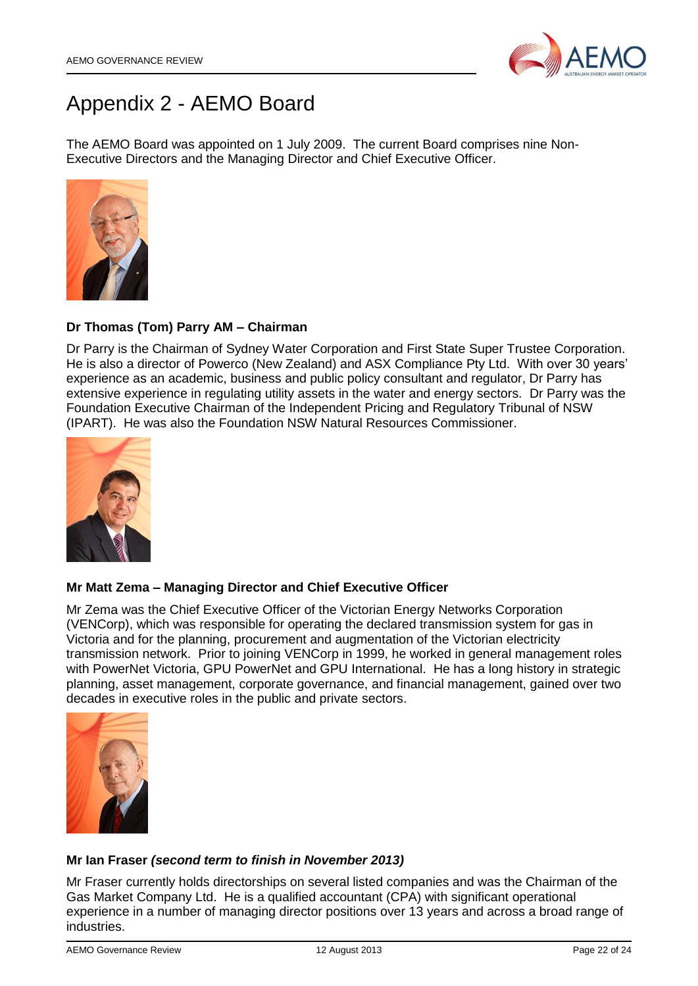

## Appendix 2 - AEMO Board

The AEMO Board was appointed on 1 July 2009. The current Board comprises nine Non-Executive Directors and the Managing Director and Chief Executive Officer.



#### **Dr Thomas (Tom) Parry AM – Chairman**

Dr Parry is the Chairman of Sydney Water Corporation and First State Super Trustee Corporation. He is also a director of Powerco (New Zealand) and ASX Compliance Pty Ltd. With over 30 years' experience as an academic, business and public policy consultant and regulator, Dr Parry has extensive experience in regulating utility assets in the water and energy sectors. Dr Parry was the Foundation Executive Chairman of the Independent Pricing and Regulatory Tribunal of NSW (IPART). He was also the Foundation NSW Natural Resources Commissioner.



#### **Mr Matt Zema – Managing Director and Chief Executive Officer**

Mr Zema was the Chief Executive Officer of the Victorian Energy Networks Corporation (VENCorp), which was responsible for operating the declared transmission system for gas in Victoria and for the planning, procurement and augmentation of the Victorian electricity transmission network. Prior to joining VENCorp in 1999, he worked in general management roles with PowerNet Victoria, GPU PowerNet and GPU International. He has a long history in strategic planning, asset management, corporate governance, and financial management, gained over two decades in executive roles in the public and private sectors.



#### **Mr Ian Fraser** *(second term to finish in November 2013)*

Mr Fraser currently holds directorships on several listed companies and was the Chairman of the Gas Market Company Ltd. He is a qualified accountant (CPA) with significant operational experience in a number of managing director positions over 13 years and across a broad range of industries.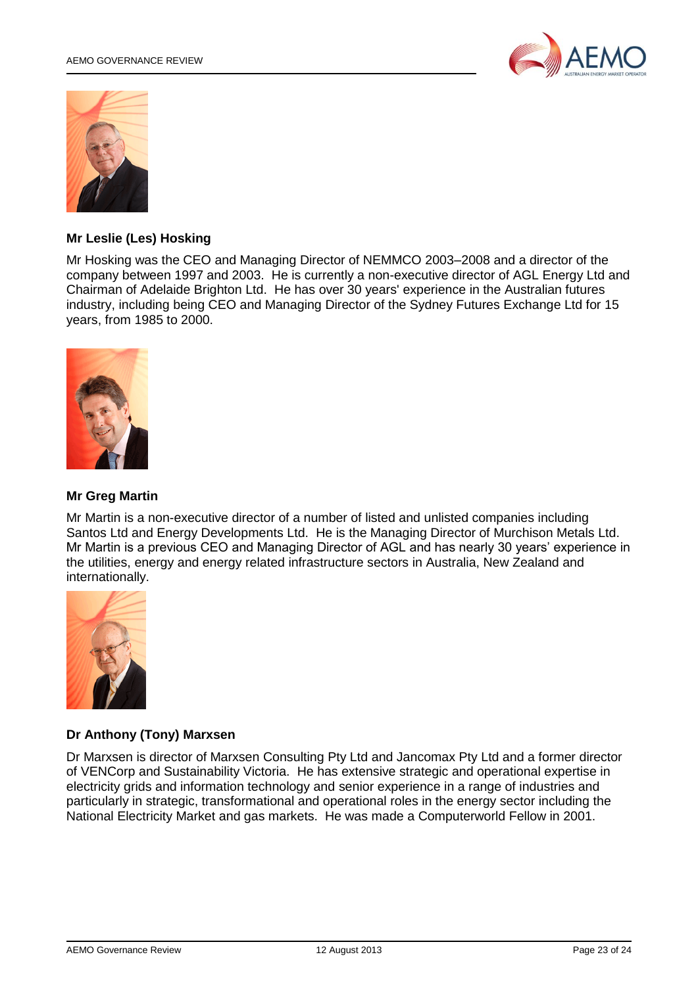



#### **Mr Leslie (Les) Hosking**

Mr Hosking was the CEO and Managing Director of NEMMCO 2003–2008 and a director of the company between 1997 and 2003. He is currently a non-executive director of AGL Energy Ltd and Chairman of Adelaide Brighton Ltd. He has over 30 years' experience in the Australian futures industry, including being CEO and Managing Director of the Sydney Futures Exchange Ltd for 15 years, from 1985 to 2000.



#### **Mr Greg Martin**

Mr Martin is a non-executive director of a number of listed and unlisted companies including Santos Ltd and Energy Developments Ltd. He is the Managing Director of Murchison Metals Ltd. Mr Martin is a previous CEO and Managing Director of AGL and has nearly 30 years' experience in the utilities, energy and energy related infrastructure sectors in Australia, New Zealand and internationally.



#### **Dr Anthony (Tony) Marxsen**

Dr Marxsen is director of Marxsen Consulting Pty Ltd and Jancomax Pty Ltd and a former director of VENCorp and Sustainability Victoria. He has extensive strategic and operational expertise in electricity grids and information technology and senior experience in a range of industries and particularly in strategic, transformational and operational roles in the energy sector including the National Electricity Market and gas markets. He was made a Computerworld Fellow in 2001.